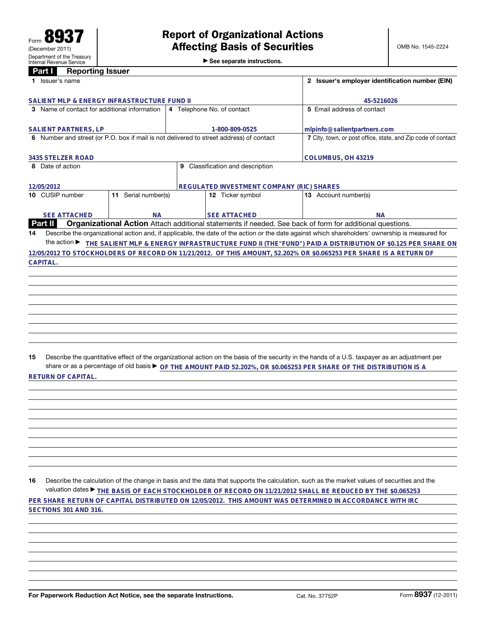**2 Issuer's employer identification number (EIN)** 

| Part I<br><b>Reporting Issuer</b>                                       |                                |                            |
|-------------------------------------------------------------------------|--------------------------------|----------------------------|
| Issuer's name                                                           | 2 Issuer's employer identifica |                            |
|                                                                         |                                |                            |
| SALIENT MLP & ENERGY INFRASTRUCTURE FUND II                             |                                | 45-5216026                 |
| 3 Name of contact for additional information 4 Telephone No. of contact |                                | 5 Email address of contact |
|                                                                         |                                |                            |

|                                                                                         | 3 Name of contact for additional information                                                                               |  | 4 Telephone No. of contact                       | 5 Email address of contact                                                                                                                      |  |  |
|-----------------------------------------------------------------------------------------|----------------------------------------------------------------------------------------------------------------------------|--|--------------------------------------------------|-------------------------------------------------------------------------------------------------------------------------------------------------|--|--|
|                                                                                         |                                                                                                                            |  |                                                  |                                                                                                                                                 |  |  |
| <b>SALIENT PARTNERS, LP</b>                                                             |                                                                                                                            |  | 1-800-809-0525                                   | mlpinfo@salientpartners.com                                                                                                                     |  |  |
| 6 Number and street (or P.O. box if mail is not delivered to street address) of contact |                                                                                                                            |  |                                                  | 7 City, town, or post office, state, and Zip code of contact                                                                                    |  |  |
| 3435 STELZER ROAD                                                                       |                                                                                                                            |  | COLUMBUS, OH 43219                               |                                                                                                                                                 |  |  |
| 8 Date of action                                                                        |                                                                                                                            |  | Classification and description<br>9              |                                                                                                                                                 |  |  |
|                                                                                         |                                                                                                                            |  |                                                  |                                                                                                                                                 |  |  |
|                                                                                         |                                                                                                                            |  |                                                  |                                                                                                                                                 |  |  |
| 12/05/2012                                                                              |                                                                                                                            |  | <b>REGULATED INVESTMENT COMPANY (RIC) SHARES</b> |                                                                                                                                                 |  |  |
|                                                                                         | Serial number(s)<br>10 CUSIP number<br>11.                                                                                 |  | <b>12</b> Ticker symbol                          | Account number(s)<br>13                                                                                                                         |  |  |
|                                                                                         |                                                                                                                            |  |                                                  |                                                                                                                                                 |  |  |
|                                                                                         |                                                                                                                            |  |                                                  |                                                                                                                                                 |  |  |
|                                                                                         | <b>SEE ATTACHED</b><br><b>NA</b>                                                                                           |  | <b>SEE ATTACHED</b>                              | <b>NA</b>                                                                                                                                       |  |  |
|                                                                                         | <b>Part II</b><br>Organizational Action Attach additional statements if needed. See back of form for additional questions. |  |                                                  |                                                                                                                                                 |  |  |
| 14                                                                                      |                                                                                                                            |  |                                                  | Describe the organizational action and, if applicable, the date of the action or the date against which shareholders' ownership is measured for |  |  |
|                                                                                         | the action $\blacktriangleright$                                                                                           |  |                                                  | THE SALIENT MLP & ENERGY INFRASTRUCTURE FUND II (THE"FUND") PAID A DISTRIBUTION OF \$0.125 PER SHARE ON                                         |  |  |
|                                                                                         |                                                                                                                            |  |                                                  | 12/05/2012 TO STOCKHOLDERS OF RECORD ON 11/21/2012. OF THIS AMOUNT, 52.202% OR \$0.065253 PER SHARE IS A RETURN OF                              |  |  |
|                                                                                         | CAPITAL.                                                                                                                   |  |                                                  |                                                                                                                                                 |  |  |

**15** Describe the quantitative effect of the organizational action on the basis of the security in the hands of a U.S. taxpayer as an adjustment per share or as a percentage of old basis ▶ <sub>OF THE</sub> AMOUNT PAID 52.202%, OR \$0.065253 PER SHARE OF THE DISTRIBUTION IS A **RETURN OF CAPITAL.**

**16** Describe the calculation of the change in basis and the data that supports the calculation, such as the market values of securities and the valuation dates ▶ THE BASIS OF EACH STOCKHOLDER OF RECORD ON 11/21/2012 SHALL BE REDUCED BY THE \$0.065253 **PER SHARE RETURN OF CAPITAL DISTRIBUTED ON 12/05/2012. THIS AMOUNT WAS DETERMINED IN ACCORDANCE WITH IRC SECTIONS 301 AND 316.**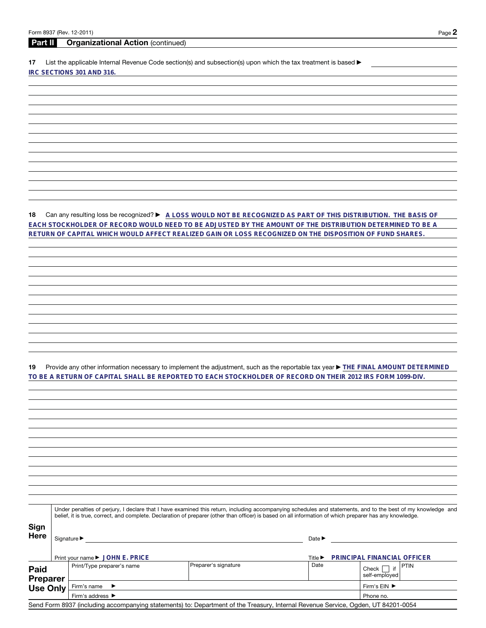## **Part II Organizational Action** (continued)

17 List the applicable Internal Revenue Code section(s) and subsection(s) upon which the tax treatment is based  $\blacktriangleright$ **IRC SECTIONS 301 AND 316.**

**18** Can any resulting loss be recognized? ► A LOSS WOULD NOT BE RECOGNIZED AS PART OF THIS DISTRIBUTION. THE BASIS OF **EACH STOCKHOLDER OF RECORD WOULD NEED TO BE ADJUSTED BY THE AMOUNT OF THE DISTRIBUTION DETERMINED TO BE A RETURN OF CAPITAL WHICH WOULD AFFECT REALIZED GAIN OR LOSS RECOGNIZED ON THE DISPOSITION OF FUND SHARES.**

19 Provide any other information necessary to implement the adjustment, such as the reportable tax year  $\blacktriangleright$  THE FINAL AMOUNT DETERMINED **TO BE A RETURN OF CAPITAL SHALL BE REPORTED TO EACH STOCKHOLDER OF RECORD ON THEIR 2012 IRS FORM 1099-DIV.**

|                         | Under penalties of perjury, I declare that I have examined this return, including accompanying schedules and statements, and to the best of my knowledge and<br>belief, it is true, correct, and complete. Declaration of preparer (other than officer) is based on all information of which preparer has any knowledge. |                                                                                                                                   |                             |                                    |  |  |
|-------------------------|--------------------------------------------------------------------------------------------------------------------------------------------------------------------------------------------------------------------------------------------------------------------------------------------------------------------------|-----------------------------------------------------------------------------------------------------------------------------------|-----------------------------|------------------------------------|--|--|
| Sign<br>Here            | Signature ▶                                                                                                                                                                                                                                                                                                              |                                                                                                                                   | Date $\blacktriangleright$  |                                    |  |  |
|                         | Print your name ▶ JOHN E. PRICE                                                                                                                                                                                                                                                                                          |                                                                                                                                   | Title $\blacktriangleright$ | PRINCIPAL FINANCIAL OFFICER        |  |  |
| <b>Paid</b><br>Preparer | Print/Type preparer's name                                                                                                                                                                                                                                                                                               | Preparer's signature                                                                                                              | Date                        | l PTIN<br>Check<br>self-employed   |  |  |
| <b>Use Only</b>         | Firm's name $\blacktriangleright$                                                                                                                                                                                                                                                                                        |                                                                                                                                   |                             | Firm's $EIN$ $\blacktriangleright$ |  |  |
|                         | Firm's address $\blacktriangleright$                                                                                                                                                                                                                                                                                     |                                                                                                                                   |                             | Phone no.                          |  |  |
|                         |                                                                                                                                                                                                                                                                                                                          | Send Form 8937 (including accompanying statements) to: Department of the Treasury, Internal Revenue Service, Ogden, UT 84201-0054 |                             |                                    |  |  |